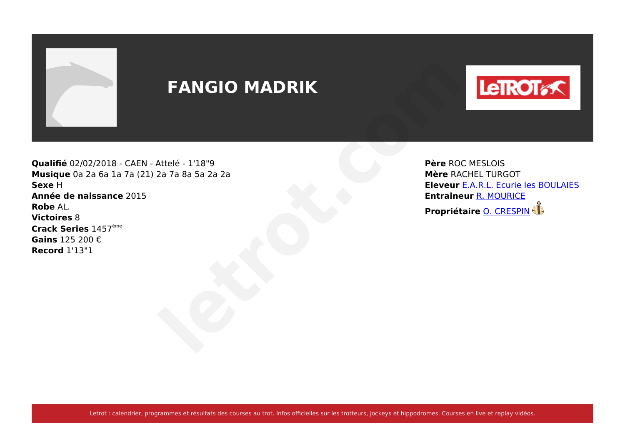

# **FANGIO MADRIK**



**Qualifié** 02/02/2018 - CAEN - Attelé - 1'18"9 **Musique** 0a 2a 6a 1a 7a (21) 2a 7a 8a 5a 2a 2a **Sexe** H **Année de naissance** 2015 **Robe** AL. **Victoires** 8 **Crack Series** 1457ème **Gains** 125 200 € **Record** 1'13"1 **PANGIO MADRIK**<br>
Attelé - 1'18"9<br>
2a 7a 8a 5a 2a 2a<br>
Père ROC MESLOIS<br>
Père ROC MESLOIS<br>
Elevent <u>E.AR.L. FUNGOT</u><br>
Elevent <u>E.AR.L. FUNGICE</u><br>
Propriétaire <u>[O. CRESPIN](https://www.letrot.com/stats/fiche-homme/o-crespin/Zmt3bQAHdg/proprietaire/dernieres-courses)</u><br>
Propriétaire <u>O. CRESPIN</u>

**Père** ROC MESLOIS **Mère** RACHEL TURGOT **Eleveur** [E.A.R.L. Ecurie les BOULAIES](https://www.letrot.com/stats/fiche-homme/earl-ecurie-les-boulaies/Y2B6ZwICcQ/eleveur/dernieres-courses) **Entraineur** [R. MOURICE](https://www.letrot.com/stats/fiche-homme/r-mourice/YmtbYwIDaw/entraineur/dernieres-courses)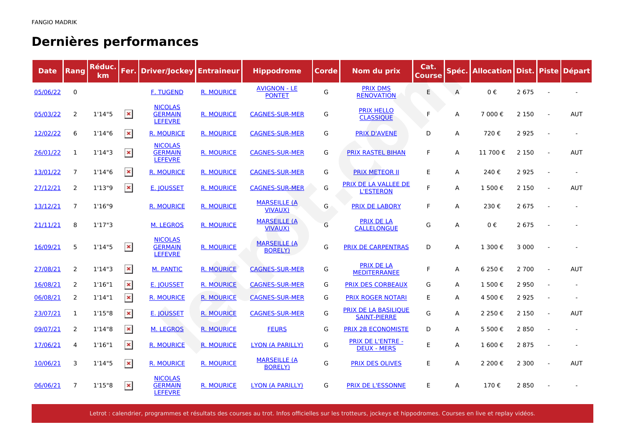# **Dernières performances**

| <b>Date</b> | <b>Rang</b>    | Réduc.<br>km. | Fer.           | <b>Driver/Jockey</b>                               | <b>Entraineur</b> | <b>Hippodrome</b>                      | Corde | Nom du prix                                        | Cat.<br><b>Course</b> |   | Spéc. Allocation Dist. Piste Départ |         |            |
|-------------|----------------|---------------|----------------|----------------------------------------------------|-------------------|----------------------------------------|-------|----------------------------------------------------|-----------------------|---|-------------------------------------|---------|------------|
| 05/06/22    | 0              |               |                | <b>F. TUGEND</b>                                   | <b>R. MOURICE</b> | <b>AVIGNON - LE</b><br><b>PONTET</b>   | G     | <b>PRIX DMS</b><br><b>RENOVATION</b>               | E                     | A | 0€                                  | 2 6 7 5 |            |
| 05/03/22    | 2              | 1'14''5       | $\pmb{\times}$ | <b>NICOLAS</b><br><b>GERMAIN</b><br><b>LEFEVRE</b> | <b>R. MOURICE</b> | <b>CAGNES-SUR-MER</b>                  | G     | <b>PRIX HELLO</b><br><b>CLASSIQUE</b>              | F                     | A | 7 000€                              | 2 1 5 0 | AUT        |
| 12/02/22    | 6              | 1'14''6       | $\pmb{\times}$ | <b>R. MOURICE</b>                                  | <b>R. MOURICE</b> | <b>CAGNES-SUR-MER</b>                  | G     | <b>PRIX D'AVENE</b>                                | D                     | A | 720€                                | 2 9 2 5 |            |
| 26/01/22    | 1              | 1'14''3       | $\pmb{\times}$ | <b>NICOLAS</b><br><b>GERMAIN</b><br><b>LEFEVRE</b> | <b>R. MOURICE</b> | <b>CAGNES-SUR-MER</b>                  | G     | <b>PRIX RASTEL BIHAN</b>                           | F                     | A | 11 700€                             | 2 1 5 0 | <b>AUT</b> |
| 13/01/22    | $\overline{7}$ | 1'14''6       | $\pmb{\times}$ | <b>R. MOURICE</b>                                  | <b>R. MOURICE</b> | <b>CAGNES-SUR-MER</b>                  | G     | <b>PRIX METEOR II</b>                              | E                     | A | 240€                                | 2 9 2 5 |            |
| 27/12/21    | 2              | 1'13''9       | $\pmb{\times}$ | E. <b>JOUSSET</b>                                  | <b>R. MOURICE</b> | <b>CAGNES-SUR-MER</b>                  | G     | PRIX DE LA VALLEE DE<br><b>L'ESTERON</b>           | E                     | A | 1 500€                              | 2 1 5 0 | <b>AUT</b> |
| 13/12/21    | $\overline{7}$ | 1'16"9        |                | <b>R. MOURICE</b>                                  | <b>R. MOURICE</b> | <b>MARSEILLE (A)</b><br><b>VIVAUX)</b> | G     | <b>PRIX DE LABORY</b>                              | F                     | А | 230€                                | 2 6 7 5 |            |
| 21/11/21    | 8              | 1'17''3       |                | M. LEGROS                                          | <b>R. MOURICE</b> | <b>MARSEILLE (A)</b><br><b>VIVAUX)</b> | G     | <b>PRIX DE LA</b><br><b>CALLELONGUE</b>            | G                     | A | 0€                                  | 2 6 7 5 |            |
| 16/09/21    | 5              | 1'14''5       | $\pmb{\times}$ | <b>NICOLAS</b><br><b>GERMAIN</b><br><b>LEFEVRE</b> | <b>R. MOURICE</b> | <b>MARSEILLE (A</b><br><b>BORELY)</b>  | G     | <b>PRIX DE CARPENTRAS</b>                          | D                     | A | 1 300€                              | 3 0 0 0 |            |
| 27/08/21    | 2              | 1'14''3       | $\pmb{\times}$ | <b>M. PANTIC</b>                                   | <b>R. MOURICE</b> | <b>CAGNES-SUR-MER</b>                  | G     | <b>PRIX DE LA</b><br><b>MEDITERRANEE</b>           | F.                    | А | 6 250 €                             | 2 700   | <b>AUT</b> |
| 16/08/21    | 2              | 1'16''1       | ×              | E. JOUSSET                                         | <b>R. MOURICE</b> | <b>CAGNES-SUR-MER</b>                  | G     | <b>PRIX DES CORBEAUX</b>                           | G                     | А | 1 500€                              | 2 9 5 0 |            |
| 06/08/21    | 2              | 1'14''1       | $\pmb{\times}$ | <b>R. MOURICE</b>                                  | <b>R. MOURICE</b> | <b>CAGNES-SUR-MER</b>                  | G     | <b>PRIX ROGER NOTARI</b>                           | E                     | A | 4 500€                              | 2925    |            |
| 23/07/21    | 1              | 1'15''8       | $\pmb{\times}$ | <b>E. JOUSSET</b>                                  | <b>R. MOURICE</b> | <b>CAGNES-SUR-MER</b>                  | G     | <b>PRIX DE LA BASILIQUE</b><br><b>SAINT-PIERRE</b> | G                     | А | 2 2 5 0 €                           | 2 1 5 0 | AUT        |
| 09/07/21    | 2              | 1'14''8       | $\pmb{\times}$ | <b>M. LEGROS</b>                                   | <b>R. MOURICE</b> | <b>FEURS</b>                           | G     | <b>PRIX 2B ECONOMISTE</b>                          | D                     | A | 5 500€                              | 2 8 5 0 |            |
| 17/06/21    | 4              | 1'16''1       | $\pmb{\times}$ | <b>R. MOURICE</b>                                  | <b>R. MOURICE</b> | <b>LYON (A PARILLY)</b>                | G     | <b>PRIX DE L'ENTRE -</b><br><b>DEUX - MERS</b>     | E.                    | A | 1 600€                              | 2 8 7 5 |            |
| 10/06/21    | 3              | 1'14''5       | $\pmb{\times}$ | <b>R. MOURICE</b>                                  | <b>R. MOURICE</b> | <b>MARSEILLE (A</b><br><b>BORELY)</b>  | G     | <b>PRIX DES OLIVES</b>                             | E                     | A | 2 200€                              | 2 3 0 0 | <b>AUT</b> |
| 06/06/21    | $\overline{7}$ | 1'15"8        | $\pmb{\times}$ | <b>NICOLAS</b><br><b>GERMAIN</b><br><b>LEFEVRE</b> | <b>R. MOURICE</b> | <b>LYON (A PARILLY)</b>                | G     | <b>PRIX DE L'ESSONNE</b>                           | E                     | A | 170€                                | 2850    |            |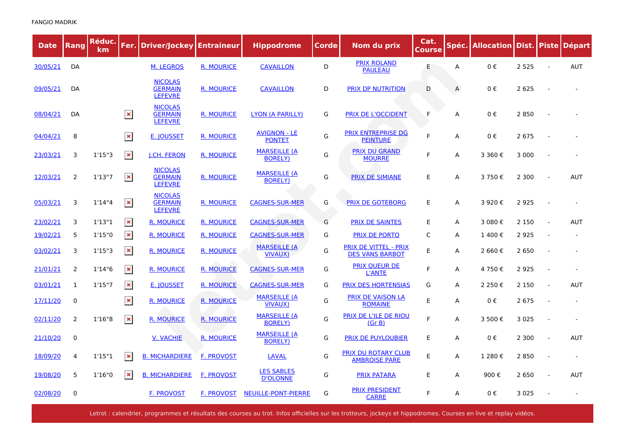| <b>Date</b> | <b>Rang</b>    | Réduc.<br>km | Fer.           | <b>Driver/Jockey Entraineur</b>                    |                   | <b>Hippodrome</b>                     | Corde | Nom du prix                                            | Cat.<br><b>Course</b> | Spéc. | <b>Allocation Dist. Piste</b> |         | <b>Départ</b> |
|-------------|----------------|--------------|----------------|----------------------------------------------------|-------------------|---------------------------------------|-------|--------------------------------------------------------|-----------------------|-------|-------------------------------|---------|---------------|
| 30/05/21    | DA             |              |                | <b>M. LEGROS</b>                                   | <b>R. MOURICE</b> | <b>CAVAILLON</b>                      | D     | <b>PRIX ROLAND</b><br><b>PAULEAU</b>                   | E                     | A     | 0€                            | 2 5 2 5 | <b>AUT</b>    |
| 09/05/21    | DA             |              |                | <b>NICOLAS</b><br><b>GERMAIN</b><br><b>LEFEVRE</b> | <b>R. MOURICE</b> | <b>CAVAILLON</b>                      | D     | <b>PRIX DP NUTRITION</b>                               | D                     | A     | 0€                            | 2 6 2 5 |               |
| 08/04/21    | DA             |              | $\pmb{\times}$ | <b>NICOLAS</b><br><b>GERMAIN</b><br><b>LEFEVRE</b> | <b>R. MOURICE</b> | LYON (A PARILLY)                      | G     | PRIX DE L'OCCIDENT                                     | F                     | A     | $0 \in$                       | 2850    |               |
| 04/04/21    | 8              |              | $\pmb{\times}$ | E. IOUSSET                                         | <b>R. MOURICE</b> | <b>AVIGNON - LE</b><br><b>PONTET</b>  | G     | <b>PRIX ENTREPRISE DG</b><br><b>PEINTURE</b>           | F                     | A     | 0€                            | 2 6 7 5 |               |
| 23/03/21    | 3              | 1'15''3      | $\pmb{\times}$ | <b>I.CH. FERON</b>                                 | <b>R. MOURICE</b> | <b>MARSEILLE (A</b><br><b>BORELY)</b> | G     | <b>PRIX DU GRAND</b><br><b>MOURRE</b>                  | F                     | A     | 3 360€                        | 3 0 0 0 |               |
| 12/03/21    | 2              | 1'13''7      | $\pmb{\times}$ | <b>NICOLAS</b><br><b>GERMAIN</b><br><b>LEFEVRE</b> | R. MOURICE        | <b>MARSEILLE (A</b><br><b>BORELY)</b> | G     | <b>PRIX DE SIMIANE</b>                                 | E                     | A     | 3 750€                        | 2 3 0 0 | AUT           |
| 05/03/21    | 3              | 1'14''4      | $\pmb{\times}$ | <b>NICOLAS</b><br><b>GERMAIN</b><br><b>LEFEVRE</b> | <b>R. MOURICE</b> | <b>CAGNES-SUR-MER</b>                 | G     | <b>PRIX DE GOTEBORG</b>                                | E                     | A     | 3 920€                        | 2 9 2 5 |               |
| 23/02/21    | 3              | 1'13''1      | $\pmb{\times}$ | <b>R. MOURICE</b>                                  | <b>R. MOURICE</b> | <b>CAGNES-SUR-MER</b>                 | G     | <b>PRIX DE SAINTES</b>                                 | E                     | A     | 3 080€                        | 2 1 5 0 | <b>AUT</b>    |
| 19/02/21    | 5              | 1'15"0       | $\pmb{\times}$ | <b>R. MOURICE</b>                                  | <b>R. MOURICE</b> | <b>CAGNES-SUR-MER</b>                 | G     | <b>PRIX DE PORTO</b>                                   | C                     | A     | 1 400€                        | 2 9 2 5 |               |
| 03/02/21    | 3              | 1'15''3      | $\pmb{\times}$ | <b>R. MOURICE</b>                                  | <b>R. MOURICE</b> | <b>MARSEILLE (A</b><br><b>VIVAUX)</b> | G     | <b>PRIX DE VITTEL - PRIX</b><br><b>DES VANS BARBOT</b> | E                     | A     | 2 660 €                       | 2 6 5 0 |               |
| 21/01/21    | 2              | 1'14''6      | $\pmb{\times}$ | <b>R. MOURICE</b>                                  | <b>R. MOURICE</b> | <b>CAGNES-SUR-MER</b>                 | G     | <b>PRIX QUEUR DE</b><br><b>L'ANTE</b>                  | F                     | A     | 4 750€                        | 2925    |               |
| 03/01/21    | 1              | 1'15"7       | $\pmb{\times}$ | E. JOUSSET                                         | <b>R. MOURICE</b> | <b>CAGNES-SUR-MER</b>                 | G     | <b>PRIX DES HORTENSIAS</b>                             | G                     | A     | 2 2 5 0 €                     | 2 1 5 0 | <b>AUT</b>    |
| 17/11/20    | 0              |              | $\pmb{\times}$ | <b>R. MOURICE</b>                                  | <b>R. MOURICE</b> | <b>MARSEILLE (A</b><br><b>VIVAUX)</b> | G     | <b>PRIX DE VAISON LA</b><br><b>ROMAINE</b>             | E                     | A     | $0 \in$                       | 2 6 7 5 |               |
| 02/11/20    | $\overline{2}$ | 1'16"8       | $\pmb{\times}$ | <b>R. MOURICE</b>                                  | <b>R. MOURICE</b> | <b>MARSEILLE (A</b><br><b>BORELY)</b> | G     | PRIX DE L'ILE DE RIOU<br>(Gr B)                        | F                     | A     | 3 500€                        | 3 0 2 5 |               |
| 21/10/20    | 0              |              |                | <b>V. VACHIE</b>                                   | <b>R. MOURICE</b> | <b>MARSEILLE (A</b><br><b>BORELY)</b> | G     | <b>PRIX DE PUYLOUBIER</b>                              | E                     | A     | 0€                            | 2 3 0 0 | <b>AUT</b>    |
| 18/09/20    | 4              | 1'15"1       | $\pmb{\times}$ | <b>B. MICHARDIERE</b>                              | <b>F. PROVOST</b> | <b>LAVAL</b>                          | G     | <b>PRIX DU ROTARY CLUB</b><br><b>AMBROISE PARE</b>     | E                     | A     | 1 280€                        | 2850    |               |
| 19/08/20    | 5              | 1'16''0      | $\pmb{\times}$ | <b>B. MICHARDIERE</b>                              | <b>F. PROVOST</b> | <b>LES SABLES</b><br><b>D'OLONNE</b>  | G     | <b>PRIX PATARA</b>                                     | E                     | A     | 900€                          | 2 6 5 0 | <b>AUT</b>    |
| 02/08/20    | 0              |              |                | <b>F. PROVOST</b>                                  | F. PROVOST        | <b>NEUILLE-PONT-PIERRE</b>            | G     | <b>PRIX PRESIDENT</b><br><b>CARRE</b>                  | F                     | A     | $0 \in$                       | 3 0 2 5 |               |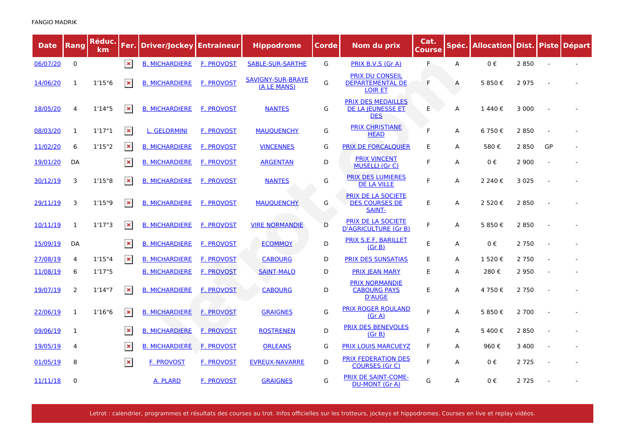| <b>Date</b> | Rang           | Réduc.<br>km | Fer.           | <b>Driver/Jockey   Entraineur</b> |                   | <b>Hippodrome</b>                       | <b>Corde</b> | Nom du prix                                                         | Cat.<br><b>Course</b> | Spéc. | <b>Allocation Dist. Piste</b> |         |    | <b>Départ</b> |
|-------------|----------------|--------------|----------------|-----------------------------------|-------------------|-----------------------------------------|--------------|---------------------------------------------------------------------|-----------------------|-------|-------------------------------|---------|----|---------------|
| 06/07/20    | $\mathbf 0$    |              | $\pmb{\times}$ | <b>B. MICHARDIERE</b>             | <b>F. PROVOST</b> | <b>SABLE-SUR-SARTHE</b>                 | G            | PRIX B.V.S (Gr A)                                                   | F                     | A     | 0€                            | 2 8 5 0 |    |               |
| 14/06/20    | $\mathbf{1}$   | 1'15''6      | $\pmb{\times}$ | <b>B. MICHARDIERE</b>             | <b>F. PROVOST</b> | <b>SAVIGNY-SUR-BRAYE</b><br>(A LE MANS) | G            | <b>PRIX DU CONSEIL</b><br><b>DEPARTEMENTAL DE</b><br><b>LOIR ET</b> | F                     | A     | 5 850€                        | 2975    |    |               |
| 18/05/20    | 4              | 1'14''5      | $\pmb{\times}$ | <b>B. MICHARDIERE</b>             | <b>F. PROVOST</b> | <b>NANTES</b>                           | G            | <b>PRIX DES MEDAILLES</b><br><b>DE LA JEUNESSE ET</b><br><b>DES</b> | E                     | A     | 1440€                         | 3 0 0 0 |    |               |
| 08/03/20    | 1              | 1'17''1      | $\pmb{\times}$ | <b>L. GELORMINI</b>               | <b>F. PROVOST</b> | <b>MAUQUENCHY</b>                       | G            | <b>PRIX CHRISTIANE</b><br><b>HEAD</b>                               | F                     | A     | 6 750€                        | 2850    |    |               |
| 11/02/20    | 6              | 1'15''2      | $\pmb{\times}$ | <b>B. MICHARDIERE</b>             | F. PROVOST        | <b>VINCENNES</b>                        | G            | <b>PRIX DE FORCALQUIER</b>                                          | Ε                     | A     | 580€                          | 2 8 5 0 | GP |               |
| 19/01/20    | DA             |              | $\pmb{\times}$ | <b>B. MICHARDIERE</b>             | <b>F. PROVOST</b> | <b>ARGENTAN</b>                         | D            | <b>PRIX VINCENT</b><br><b>MUSELLI (Gr C)</b>                        | F                     | A     | $0 \in$                       | 2 9 0 0 |    |               |
| 30/12/19    | 3              | 1'15''8      | $\pmb{\times}$ | <b>B. MICHARDIERE</b>             | F. PROVOST        | <b>NANTES</b>                           | G            | <b>PRIX DES LUMIERES</b><br><b>DE LA VILLE</b>                      | F                     | A     | 2 240 €                       | 3 0 2 5 |    |               |
| 29/11/19    | 3              | 1'15''9      | $\pmb{\times}$ | <b>B. MICHARDIERE</b>             | <b>F. PROVOST</b> | <b>MAUQUENCHY</b>                       | G            | <b>PRIX DE LA SOCIETE</b><br><b>DES COURSES DE</b><br><b>SAINT-</b> | E                     | A     | 2 520€                        | 2850    |    |               |
| 10/11/19    | 1              | 1'17''3      | $\pmb{\times}$ | <b>B. MICHARDIERE</b>             | F. PROVOST        | <b>VIRE NORMANDIE</b>                   | D            | <b>PRIX DE LA SOCIETE</b><br><b>D'AGRICULTURE (Gr B)</b>            | F                     | A     | 5 850€                        | 2850    |    |               |
| 15/09/19    | DA             |              | $\pmb{\times}$ | <b>B. MICHARDIERE</b>             | F. PROVOST        | <b>ECOMMOY</b>                          | D            | PRIX S.E.F. BARILLET<br>(Gr B)                                      | E                     | A     | $0 \in$                       | 2 7 5 0 |    |               |
| 27/08/19    | 4              | 1'15''4      | $\pmb{\times}$ | <b>B. MICHARDIERE</b>             | <b>F. PROVOST</b> | <b>CABOURG</b>                          | D            | <b>PRIX DES SUNSATIAS</b>                                           | Ε                     | A     | 1 520€                        | 2 7 5 0 |    |               |
| 11/08/19    | 6              | 1'17''5      |                | <b>B. MICHARDIERE</b>             | <b>F. PROVOST</b> | <b>SAINT-MALO</b>                       | D            | <b>PRIX JEAN MARY</b>                                               | E                     | A     | 280€                          | 2950    |    |               |
| 19/07/19    | $\overline{2}$ | 1'14''7      | $\pmb{\times}$ | <b>B. MICHARDIERE</b>             | <b>F. PROVOST</b> | <b>CABOURG</b>                          | D            | <b>PRIX NORMANDIE</b><br><b>CABOURG PAYS</b><br><b>D'AUGE</b>       | E                     | A     | 4 750€                        | 2 7 5 0 |    |               |
| 22/06/19    | 1              | 1'16''6      | $\pmb{\times}$ | <b>B. MICHARDIERE</b>             | <b>F. PROVOST</b> | <b>GRAIGNES</b>                         | G            | <b>PRIX ROGER ROULAND</b><br>(Gr A)                                 | F                     | A     | 5 850€                        | 2 700   |    |               |
| 09/06/19    | 1              |              | $\pmb{\times}$ | <b>B. MICHARDIERE</b>             | <b>F. PROVOST</b> | <b>ROSTRENEN</b>                        | D            | <b>PRIX DES BENEVOLES</b><br>(Gr B)                                 | F                     | A     | 5400€                         | 2850    |    |               |
| 19/05/19    | 4              |              | $\pmb{\times}$ | <b>B. MICHARDIERE</b>             | F. PROVOST        | <b>ORLEANS</b>                          | G            | <b>PRIX LOUIS MARCUEYZ</b>                                          | F                     | A     | 960€                          | 3 4 0 0 |    |               |
| 01/05/19    | 8              |              | $\pmb{\times}$ | <b>F. PROVOST</b>                 | <b>F. PROVOST</b> | <b>EVREUX-NAVARRE</b>                   | D            | <b>PRIX FEDERATION DES</b><br><b>COURSES (Gr C)</b>                 | F                     | A     | $0 \in$                       | 2 7 2 5 |    |               |
| 11/11/18    | 0              |              |                | A. PLARD                          | F. PROVOST        | <b>GRAIGNES</b>                         | G            | <b>PRIX DE SAINT-COME-</b><br><b>DU-MONT (Gr A)</b>                 | G                     | A     | $0 \in$                       | 2 7 2 5 |    |               |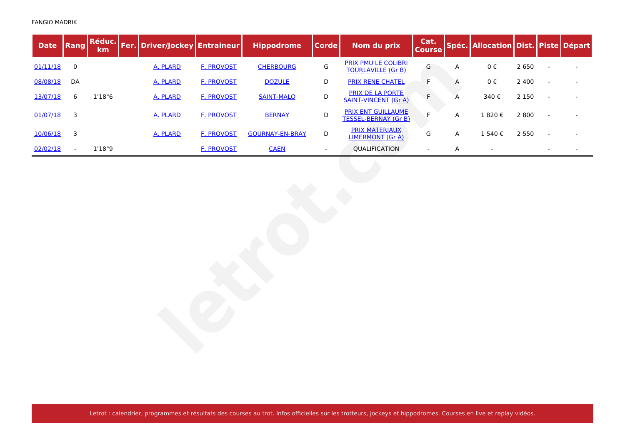| <b>Date</b> | Rang                    | Réduc.<br>km | Fer. Driver/Jockey Entraineur |                   | <b>Hippodrome</b>      | <b>Corde</b>   | Nom du prix                                              | Cat.<br><b>Course</b> |   | Spéc. Allocation Dist. Piste Départ |         |  |
|-------------|-------------------------|--------------|-------------------------------|-------------------|------------------------|----------------|----------------------------------------------------------|-----------------------|---|-------------------------------------|---------|--|
| 01/11/18    | $\pmb{0}$               |              | A. PLARD                      | <b>F. PROVOST</b> | <b>CHERBOURG</b>       | ${\mathsf G}$  | <b>PRIX PMU LE COLIBRI</b><br><b>TOURLAVILLE (Gr B)</b>  | G                     | A | $0\;\mathsf{E}$                     | 2 6 5 0 |  |
| 08/08/18    | DA                      |              | A. PLARD                      | <b>F. PROVOST</b> | <b>DOZULE</b>          | D              | <b>PRIX RENE CHATEL</b>                                  | F                     | A | $0 \in$                             | 2 4 0 0 |  |
| 13/07/18    | $\boldsymbol{6}$        | 1'18''6      | A. PLARD                      | <b>F. PROVOST</b> | <b>SAINT-MALO</b>      | $\mathsf D$    | <b>PRIX DE LA PORTE</b><br><b>SAINT-VINCENT (Gr A)</b>   | F                     | Α | 340€                                | 2 1 5 0 |  |
| 01/07/18    | $\overline{\mathbf{3}}$ |              | A. PLARD                      | <b>F. PROVOST</b> | <b>BERNAY</b>          | $\mathsf D$    | <b>PRIX ENT GUILLAUME</b><br><b>TESSEL-BERNAY (Gr B)</b> | F                     | A | 1820€                               | 2 8 0 0 |  |
| 10/06/18    | 3                       |              | A. PLARD                      | <b>F. PROVOST</b> | <b>GOURNAY-EN-BRAY</b> | $\mathsf D$    | <b>PRIX MATERIAUX</b><br><b>LIMERMONT (Gr A)</b>         | G                     | Α | 1 540€                              | 2 5 5 0 |  |
| 02/02/18    | $\blacksquare$          | 1'18"9       |                               | <b>F. PROVOST</b> | <b>CAEN</b>            | $\blacksquare$ | QUALIFICATION                                            | $\blacksquare$        | Α | $\overline{\phantom{a}}$            |         |  |
|             |                         |              |                               |                   |                        |                |                                                          |                       |   |                                     |         |  |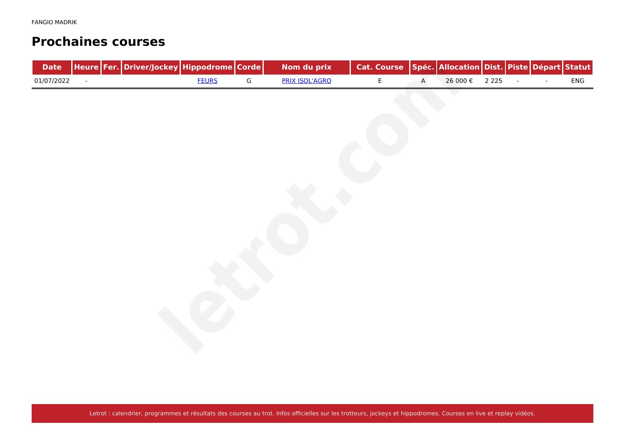#### **Prochaines courses**

| <b>Date</b> |        | Heure Fer. Driver/Jockey Hippodrome Corde |              |               | Nom du prix           | Cat. Course   Spéc.   Allocation   Dist.   Piste   Départ   Statut |              |          |         |        |        |     |
|-------------|--------|-------------------------------------------|--------------|---------------|-----------------------|--------------------------------------------------------------------|--------------|----------|---------|--------|--------|-----|
| 01/07/2022  | $\sim$ |                                           | <b>FEURS</b> | ${\mathsf G}$ | <b>PRIX ISOL'AGRO</b> | $\mathsf E$                                                        | $\mathsf{A}$ | 26 000 € | 2 2 2 5 | $\sim$ | $\sim$ | ENG |
|             |        |                                           |              |               |                       |                                                                    |              |          |         |        |        |     |
|             |        |                                           |              |               |                       |                                                                    |              |          |         |        |        |     |
|             |        |                                           |              |               |                       |                                                                    |              |          |         |        |        |     |
|             |        |                                           |              |               |                       |                                                                    |              |          |         |        |        |     |
|             |        |                                           |              |               |                       |                                                                    |              |          |         |        |        |     |
|             |        |                                           |              |               |                       |                                                                    |              |          |         |        |        |     |
|             |        |                                           |              |               |                       |                                                                    |              |          |         |        |        |     |
|             |        |                                           |              |               |                       |                                                                    |              |          |         |        |        |     |
|             |        |                                           |              |               |                       |                                                                    |              |          |         |        |        |     |
|             |        |                                           |              |               |                       |                                                                    |              |          |         |        |        |     |
|             |        |                                           |              |               |                       |                                                                    |              |          |         |        |        |     |
|             |        |                                           |              |               |                       |                                                                    |              |          |         |        |        |     |
|             |        |                                           |              |               |                       |                                                                    |              |          |         |        |        |     |
|             |        |                                           |              |               |                       |                                                                    |              |          |         |        |        |     |
|             |        |                                           |              |               |                       |                                                                    |              |          |         |        |        |     |
|             |        |                                           |              |               |                       |                                                                    |              |          |         |        |        |     |
|             |        |                                           |              |               |                       |                                                                    |              |          |         |        |        |     |
|             |        |                                           |              |               |                       |                                                                    |              |          |         |        |        |     |
|             |        |                                           |              |               |                       |                                                                    |              |          |         |        |        |     |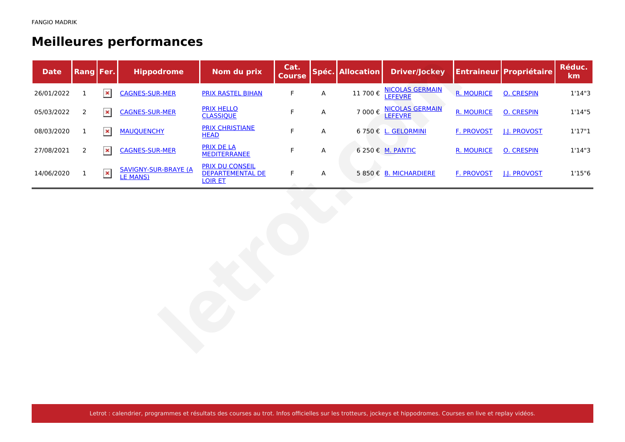# **Meilleures performances**

| <b>Date</b> | <b>Rang Fer.</b> |                | <b>Hippodrome</b>                                | Nom du prix                                                         | Cat.<br><b>Course</b> |   | Spéc. Allocation | <b>Driver/Jockey</b>                     |                   | <b>Entraineur Propriétaire</b> | Réduc.<br>km |
|-------------|------------------|----------------|--------------------------------------------------|---------------------------------------------------------------------|-----------------------|---|------------------|------------------------------------------|-------------------|--------------------------------|--------------|
| 26/01/2022  | 1                | $\pmb{\times}$ | <b>CAGNES-SUR-MER</b>                            | <b>PRIX RASTEL BIHAN</b>                                            | $\mathsf F$           | A | 11 700€          | <b>NICOLAS GERMAIN</b><br><b>LEFEVRE</b> | <b>R. MOURICE</b> | <b>O. CRESPIN</b>              | 1'14''3      |
| 05/03/2022  | 2                | $\pmb{\times}$ | <b>CAGNES-SUR-MER</b>                            | <b>PRIX HELLO</b><br><b>CLASSIQUE</b>                               | F                     | A | 7 000€           | <b>NICOLAS GERMAIN</b><br>LEFEVRE        | <b>R. MOURICE</b> | <b>O. CRESPIN</b>              | 1'14''5      |
| 08/03/2020  | $\mathbf{1}$     | $\pmb{\times}$ | <b>MAUQUENCHY</b>                                | <b>PRIX CHRISTIANE</b><br><b>HEAD</b>                               | $\mathsf F$           | A |                  | 6 750 € L. GELORMINI                     | <b>F. PROVOST</b> | <b>J.J. PROVOST</b>            | 1'17''1      |
| 27/08/2021  | $\overline{2}$   | $\pmb{\times}$ | <b>CAGNES-SUR-MER</b>                            | <b>PRIX DE LA</b><br><b>MEDITERRANEE</b>                            | F                     | A |                  | 6 250 € M. PANTIC                        | <b>R. MOURICE</b> | <b>O. CRESPIN</b>              | 1'14''3      |
| 14/06/2020  | $\mathbf{1}$     | $\pmb{\times}$ | <b>SAVIGNY-SUR-BRAYE (A)</b><br><b>LE MANS</b> ) | <b>PRIX DU CONSEIL</b><br><b>DEPARTEMENTAL DE</b><br><b>LOIR ET</b> | $\mathsf F$           | A |                  | 5 850 € B. MICHARDIERE                   | <b>F. PROVOST</b> | <b>J.J. PROVOST</b>            | 1'15''6      |
|             |                  |                |                                                  |                                                                     |                       |   |                  |                                          |                   |                                |              |